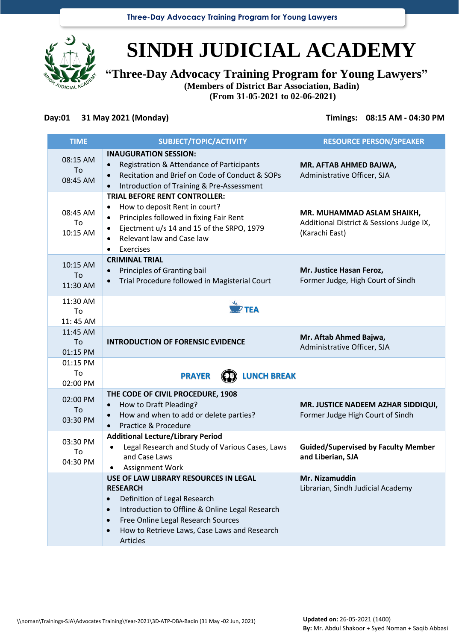**Three-Day Advocacy Training Program for Young Lawyers**



# **SINDH JUDICIAL ACADEMY**

**"Three-Day Advocacy Training Program for Young Lawyers"**

**(Members of District Bar Association, Badin)**

**(From 31-05-2021 to 02-06-2021)**

## **Day:01 31 May 2021 (Monday) Timings: 08:15 AM - 04:30 PM**

| <b>TIME</b>                | SUBJECT/TOPIC/ACTIVITY                                                                                                                                                                                                                                                                                   | <b>RESOURCE PERSON/SPEAKER</b>                                                           |
|----------------------------|----------------------------------------------------------------------------------------------------------------------------------------------------------------------------------------------------------------------------------------------------------------------------------------------------------|------------------------------------------------------------------------------------------|
| 08:15 AM<br>To<br>08:45 AM | <b>INAUGURATION SESSION:</b><br>Registration & Attendance of Participants<br>$\bullet$<br>Recitation and Brief on Code of Conduct & SOPs<br>Introduction of Training & Pre-Assessment                                                                                                                    | MR. AFTAB AHMED BAJWA,<br>Administrative Officer, SJA                                    |
| 08:45 AM<br>To<br>10:15 AM | <b>TRIAL BEFORE RENT CONTROLLER:</b><br>How to deposit Rent in court?<br>$\bullet$<br>Principles followed in fixing Fair Rent<br>$\bullet$<br>Ejectment u/s 14 and 15 of the SRPO, 1979<br>$\bullet$<br>Relevant law and Case law<br>Exercises<br>٠                                                      | MR. MUHAMMAD ASLAM SHAIKH,<br>Additional District & Sessions Judge IX,<br>(Karachi East) |
| 10:15 AM<br>To<br>11:30 AM | <b>CRIMINAL TRIAL</b><br>Principles of Granting bail<br>$\bullet$<br>Trial Procedure followed in Magisterial Court<br>$\bullet$                                                                                                                                                                          | Mr. Justice Hasan Feroz,<br>Former Judge, High Court of Sindh                            |
| 11:30 AM<br>To<br>11:45 AM | $\overline{\mathcal{D}}$ TEA                                                                                                                                                                                                                                                                             |                                                                                          |
| 11:45 AM<br>To<br>01:15 PM | <b>INTRODUCTION OF FORENSIC EVIDENCE</b>                                                                                                                                                                                                                                                                 | Mr. Aftab Ahmed Bajwa,<br>Administrative Officer, SJA                                    |
| 01:15 PM<br>To<br>02:00 PM | <b>LUNCH BREAK</b><br><b>PRAYER</b>                                                                                                                                                                                                                                                                      |                                                                                          |
| 02:00 PM<br>To<br>03:30 PM | THE CODE OF CIVIL PROCEDURE, 1908<br>How to Draft Pleading?<br>$\bullet$<br>How and when to add or delete parties?<br>$\bullet$<br>Practice & Procedure<br>$\bullet$                                                                                                                                     | MR. JUSTICE NADEEM AZHAR SIDDIQUI,<br>Former Judge High Court of Sindh                   |
| 03:30 PM<br>To<br>04:30 PM | <b>Additional Lecture/Library Period</b><br>Legal Research and Study of Various Cases, Laws<br>and Case Laws<br><b>Assignment Work</b><br>$\bullet$                                                                                                                                                      | <b>Guided/Supervised by Faculty Member</b><br>and Liberian, SJA                          |
|                            | USE OF LAW LIBRARY RESOURCES IN LEGAL<br><b>RESEARCH</b><br>Definition of Legal Research<br>$\bullet$<br>Introduction to Offline & Online Legal Research<br>$\bullet$<br>Free Online Legal Research Sources<br>$\bullet$<br>How to Retrieve Laws, Case Laws and Research<br>$\bullet$<br><b>Articles</b> | Mr. Nizamuddin<br>Librarian, Sindh Judicial Academy                                      |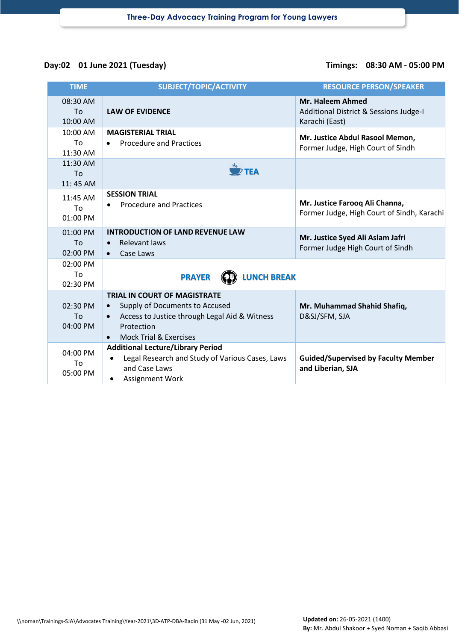## **Day:02 01 June 2021 (Tuesday) Timings: 08:30 AM - 05:00 PM**

| <b>TIME</b>                | SUBJECT/TOPIC/ACTIVITY                                                                                                                                                                              | <b>RESOURCE PERSON/SPEAKER</b>                                                      |
|----------------------------|-----------------------------------------------------------------------------------------------------------------------------------------------------------------------------------------------------|-------------------------------------------------------------------------------------|
| 08:30 AM<br>To<br>10:00 AM | <b>LAW OF EVIDENCE</b>                                                                                                                                                                              | <b>Mr. Haleem Ahmed</b><br>Additional District & Sessions Judge-I<br>Karachi (East) |
| 10:00 AM<br>To<br>11:30 AM | <b>MAGISTERIAL TRIAL</b><br><b>Procedure and Practices</b><br>$\bullet$                                                                                                                             | Mr. Justice Abdul Rasool Memon,<br>Former Judge, High Court of Sindh                |
| 11:30 AM<br>Tο<br>11:45 AM | $\overline{\mathscr{D}}$ TEA                                                                                                                                                                        |                                                                                     |
| 11:45 AM<br>To<br>01:00 PM | <b>SESSION TRIAL</b><br><b>Procedure and Practices</b>                                                                                                                                              | Mr. Justice Farooq Ali Channa,<br>Former Judge, High Court of Sindh, Karachi        |
| 01:00 PM<br>To<br>02:00 PM | <b>INTRODUCTION OF LAND REVENUE LAW</b><br><b>Relevant laws</b><br>$\bullet$<br>Case Laws<br>$\bullet$                                                                                              | Mr. Justice Syed Ali Aslam Jafri<br>Former Judge High Court of Sindh                |
| 02:00 PM<br>To<br>02:30 PM | <b>LUNCH BREAK</b><br><b>PRAYER</b>                                                                                                                                                                 |                                                                                     |
| 02:30 PM<br>To<br>04:00 PM | <b>TRIAL IN COURT OF MAGISTRATE</b><br>Supply of Documents to Accused<br>$\bullet$<br>Access to Justice through Legal Aid & Witness<br>$\bullet$<br>Protection<br><b>Mock Trial &amp; Exercises</b> | Mr. Muhammad Shahid Shafiq,<br>D&SJ/SFM, SJA                                        |
| 04:00 PM<br>To<br>05:00 PM | <b>Additional Lecture/Library Period</b><br>Legal Research and Study of Various Cases, Laws<br>and Case Laws<br><b>Assignment Work</b><br>$\bullet$                                                 | <b>Guided/Supervised by Faculty Member</b><br>and Liberian, SJA                     |